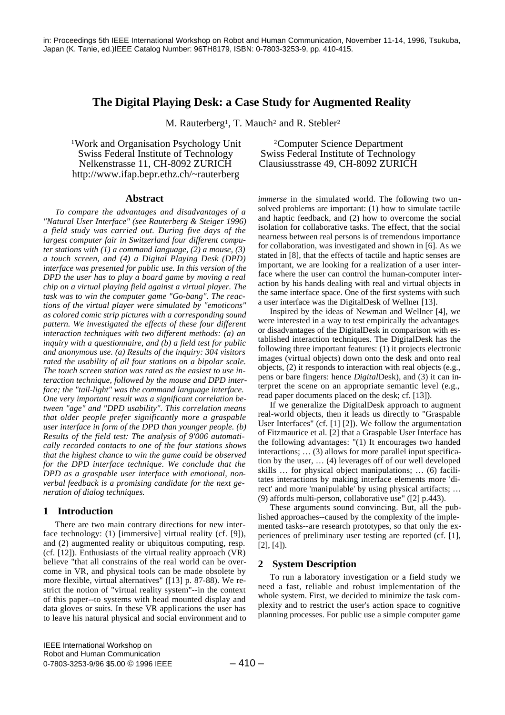# **The Digital Playing Desk: a Case Study for Augmented Reality**

M. Rauterberg<sup>1</sup>, T. Mauch<sup>2</sup> and R. Stebler<sup>2</sup>

<sup>1</sup>Work and Organisation Psychology Unit <sup>2</sup>Computer Science Department Swiss Federal Institute of Technology Swiss Federal Institute of Technology Nelkenstrasse 11, CH-8092 ZURICH Clausiusstrasse 49, CH-8092 ZURICH http://www.ifap.bepr.ethz.ch/~rauterberg

### **Abstract**

*To compare the advantages and disadvantages of a "Natural User Interface" (see Rauterberg & Steiger 1996) a field study was carried out. During five days of the largest computer fair in Switzerland four different computer stations with (1) a command language, (2) a mouse, (3) a touch screen, and (4) a Digital Playing Desk (DPD) interface was presented for public use. In this version of the DPD the user has to play a board game by moving a real chip on a virtual playing field against a virtual player. The task was to win the computer game "Go-bang". The reactions of the virtual player were simulated by "emoticons" as colored comic strip pictures with a corresponding sound pattern. We investigated the effects of these four different interaction techniques with two different methods: (a) an inquiry with a questionnaire, and (b) a field test for public and anonymous use. (a) Results of the inquiry: 304 visitors rated the usability of all four stations on a bipolar scale. The touch screen station was rated as the easiest to use interaction technique, followed by the mouse and DPD interface; the "tail-light" was the command language interface. One very important result was a significant correlation between "age" and "DPD usability". This correlation means that older people prefer significantly more a graspable user interface in form of the DPD than younger people. (b) Results of the field test: The analysis of 9'006 automatically recorded contacts to one of the four stations shows that the highest chance to win the game could be observed for the DPD interface technique. We conclude that the DPD as a graspable user interface with emotional, nonverbal feedback is a promising candidate for the next generation of dialog techniques.*

### **1 Introduction**

There are two main contrary directions for new interface technology: (1) [immersive] virtual reality (cf. [9]), and (2) augmented reality or ubiquitous computing, resp. (cf. [12]). Enthusiasts of the virtual reality approach (VR) believe "that all constrains of the real world can be overcome in VR, and physical tools can be made obsolete by more flexible, virtual alternatives" ([13] p. 87-88). We restrict the notion of "virtual reality system"--in the context of this paper--to systems with head mounted display and data gloves or suits. In these VR applications the user has to leave his natural physical and social environment and to

*immerse* in the simulated world. The following two unsolved problems are important: (1) how to simulate tactile and haptic feedback, and (2) how to overcome the social isolation for collaborative tasks. The effect, that the social nearness between real persons is of tremendous importance for collaboration, was investigated and shown in [6]. As we stated in [8], that the effects of tactile and haptic senses are important, we are looking for a realization of a user interface where the user can control the human-computer interaction by his hands dealing with real and virtual objects in the same interface space. One of the first systems with such a user interface was the DigitalDesk of Wellner [13].

Inspired by the ideas of Newman and Wellner [4], we were interested in a way to test empirically the advantages or disadvantages of the DigitalDesk in comparison with established interaction techniques. The DigitalDesk has the following three important features: (1) it projects electronic images (virtual objects) down onto the desk and onto real objects, (2) it responds to interaction with real objects (e.g., pens or bare fingers: hence *Digital*Desk), and (3) it can interpret the scene on an appropriate semantic level (e.g., read paper documents placed on the desk; cf. [13]).

If we generalize the DigitalDesk approach to augment real-world objects, then it leads us directly to "Graspable User Interfaces" (cf. [1] [2]). We follow the argumentation of Fitzmaurice et al. [2] that a Graspable User Interface has the following advantages: "(1) It encourages two handed interactions; ... (3) allows for more parallel input specification by the user, … (4) leverages off of our well developed skills … for physical object manipulations; … (6) facilitates interactions by making interface elements more 'direct' and more 'manipulable' by using physical artifacts; … (9) affords multi-person, collaborative use" ([2] p.443).

These arguments sound convincing. But, all the published approaches--caused by the complexity of the implemented tasks--are research prototypes, so that only the experiences of preliminary user testing are reported (cf. [1], [2], [4]).

## **2 System Description**

To run a laboratory investigation or a field study we need a fast, reliable and robust implementation of the whole system. First, we decided to minimize the task complexity and to restrict the user's action space to cognitive planning processes. For public use a simple computer game

IEEE International Workshop on Robot and Human Communication 0-7803-3253-9/96 \$5.00 © 1996 IEEE – 410 –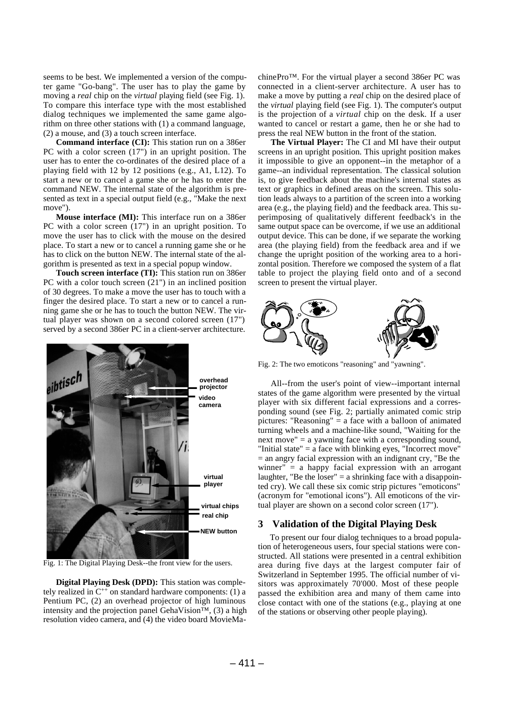seems to be best. We implemented a version of the computer game "Go-bang". The user has to play the game by moving a *real* chip on the *virtual* playing field (see Fig. 1). To compare this interface type with the most established dialog techniques we implemented the same game algorithm on three other stations with (1) a command language, (2) a mouse, and (3) a touch screen interface.

**Command interface (CI):** This station run on a 386er PC with a color screen (17") in an upright position. The user has to enter the co-ordinates of the desired place of a playing field with 12 by 12 positions (e.g., A1, L12). To start a new or to cancel a game she or he has to enter the command NEW. The internal state of the algorithm is presented as text in a special output field (e.g., "Make the next move").

**Mouse interface (MI):** This interface run on a 386er PC with a color screen (17") in an upright position. To move the user has to click with the mouse on the desired place. To start a new or to cancel a running game she or he has to click on the button NEW. The internal state of the algorithm is presented as text in a special popup window.

**Touch screen interface (TI):** This station run on 386er PC with a color touch screen (21") in an inclined position of 30 degrees. To make a move the user has to touch with a finger the desired place. To start a new or to cancel a running game she or he has to touch the button NEW. The virtual player was shown on a second colored screen (17") served by a second 386er PC in a client-server architecture.



Fig. 1: The Digital Playing Desk--the front view for the users.

**Digital Playing Desk (DPD):** This station was completely realized in  $C^{++}$  on standard hardware components: (1) a Pentium PC, (2) an overhead projector of high luminous intensity and the projection panel GehaVision™, (3) a high resolution video camera, and (4) the video board MovieMachinePro™. For the virtual player a second 386er PC was connected in a client-server architecture. A user has to make a move by putting a *real* chip on the desired place of the *virtual* playing field (see Fig. 1). The computer's output is the projection of a *virtual* chip on the desk. If a user wanted to cancel or restart a game, then he or she had to press the real NEW button in the front of the station.

**The Virtual Player:** The CI and MI have their output screens in an upright position. This upright position makes it impossible to give an opponent--in the metaphor of a game--an individual representation. The classical solution is, to give feedback about the machine's internal states as text or graphics in defined areas on the screen. This solution leads always to a partition of the screen into a working area (e.g., the playing field) and the feedback area. This superimposing of qualitatively different feedback's in the same output space can be overcome, if we use an additional output device. This can be done, if we separate the working area (the playing field) from the feedback area and if we change the upright position of the working area to a horizontal position. Therefore we composed the system of a flat table to project the playing field onto and of a second screen to present the virtual player.



Fig. 2: The two emoticons "reasoning" and "yawning".

All--from the user's point of view--important internal states of the game algorithm were presented by the virtual player with six different facial expressions and a corresponding sound (see Fig. 2; partially animated comic strip pictures: "Reasoning" = a face with a balloon of animated turning wheels and a machine-like sound, "Waiting for the next move" = a yawning face with a corresponding sound, "Initial state" = a face with blinking eyes, "Incorrect move" = an angry facial expression with an indignant cry, "Be the winner" = a happy facial expression with an arrogant laughter, "Be the loser" = a shrinking face with a disappointed cry). We call these six comic strip pictures "emoticons" (acronym for "emotional icons"). All emoticons of the virtual player are shown on a second color screen (17").

# **3 Validation of the Digital Playing Desk**

To present our four dialog techniques to a broad population of heterogeneous users, four special stations were constructed. All stations were presented in a central exhibition area during five days at the largest computer fair of Switzerland in September 1995. The official number of visitors was approximately 70'000. Most of these people passed the exhibition area and many of them came into close contact with one of the stations (e.g., playing at one of the stations or observing other people playing).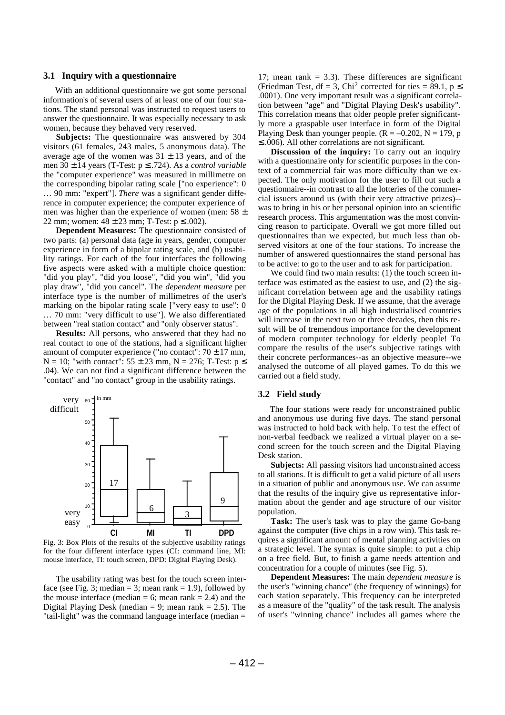#### **3.1 Inquiry with a questionnaire**

With an additional questionnaire we got some personal information's of several users of at least one of our four stations. The stand personal was instructed to request users to answer the questionnaire. It was especially necessary to ask women, because they behaved very reserved.

**Subjects:** The questionnaire was answered by 304 visitors (61 females, 243 males, 5 anonymous data). The average age of the women was  $31 \pm 13$  years, and of the men 30 ± 14 years (T-Test: p ≤ .724). As a *control variable* the "computer experience" was measured in millimetre on the corresponding bipolar rating scale ["no experience": 0 … 90 mm: "expert"]. *There* was a significant gender difference in computer experience; the computer experience of men was higher than the experience of women (men:  $58 \pm$ 22 mm; women:  $48 \pm 23$  mm; T-Test:  $p \le .002$ ).

**Dependent Measures:** The questionnaire consisted of two parts: (a) personal data (age in years, gender, computer experience in form of a bipolar rating scale, and (b) usability ratings. For each of the four interfaces the following five aspects were asked with a multiple choice question: "did you play", "did you loose", "did you win", "did you play draw", "did you cancel". The *dependent measure* per interface type is the number of millimetres of the user's marking on the bipolar rating scale ["very easy to use": 0 … 70 mm: "very difficult to use"]. We also differentiated between "real station contact" and "only observer status".

**Results:** All persons, who answered that they had no real contact to one of the stations, had a significant higher amount of computer experience ("no contact":  $70 \pm 17$  mm,  $N = 10$ ; "with contact": 55 ± 23 mm,  $N = 276$ ; T-Test:  $p \le$ .04). We can not find a significant difference between the "contact" and "no contact" group in the usability ratings.



Fig. 3: Box Plots of the results of the subjective usability ratings for the four different interface types (CI: command line, MI: mouse interface, TI: touch screen, DPD: Digital Playing Desk).

The usability rating was best for the touch screen interface (see Fig. 3; median = 3; mean rank = 1.9), followed by the mouse interface (median  $= 6$ ; mean rank  $= 2.4$ ) and the Digital Playing Desk (median  $= 9$ ; mean rank  $= 2.5$ ). The "tail-light" was the command language interface (median = 17; mean rank  $= 3.3$ ). These differences are significant (Friedman Test, df = 3, Chi<sup>2</sup> corrected for ties = 89.1,  $p \le$ .0001). One very important result was a significant correlation between "age" and "Digital Playing Desk's usability". This correlation means that older people prefer significantly more a graspable user interface in form of the Digital Playing Desk than younger people.  $(R = -0.202, N = 179, p$ ≤ .006). All other correlations are not significant.

**Discussion of the inquiry:** To carry out an inquiry with a questionnaire only for scientific purposes in the context of a commercial fair was more difficulty than we expected. The only motivation for the user to fill out such a questionnaire--in contrast to all the lotteries of the commercial issuers around us (with their very attractive prizes)- was to bring in his or her personal opinion into an scientific research process. This argumentation was the most convincing reason to participate. Overall we got more filled out questionnaires than we expected, but much less than observed visitors at one of the four stations. To increase the number of answered questionnaires the stand personal has to be active: to go to the user and to ask for participation.

We could find two main results: (1) the touch screen interface was estimated as the easiest to use, and (2) the significant correlation between age and the usability ratings for the Digital Playing Desk. If we assume, that the average age of the populations in all high industrialised countries will increase in the next two or three decades, then this result will be of tremendous importance for the development of modern computer technology for elderly people! To compare the results of the user's subjective ratings with their concrete performances--as an objective measure--we analysed the outcome of all played games. To do this we carried out a field study.

### **3.2 Field study**

The four stations were ready for unconstrained public and anonymous use during five days. The stand personal was instructed to hold back with help. To test the effect of non-verbal feedback we realized a virtual player on a second screen for the touch screen and the Digital Playing Desk station.

**Subjects:** All passing visitors had unconstrained access to all stations. It is difficult to get a valid picture of all users in a situation of public and anonymous use. We can assume that the results of the inquiry give us representative information about the gender and age structure of our visitor population.

**Task:** The user's task was to play the game Go-bang against the computer (five chips in a row win). This task requires a significant amount of mental planning activities on a strategic level. The syntax is quite simple: to put a chip on a free field. But, to finish a game needs attention and concentration for a couple of minutes (see Fig. 5).

**Dependent Measures:** The main *dependent measure* is the user's "winning chance" (the frequency of winnings) for each station separately. This frequency can be interpreted as a measure of the "quality" of the task result. The analysis of user's "winning chance" includes all games where the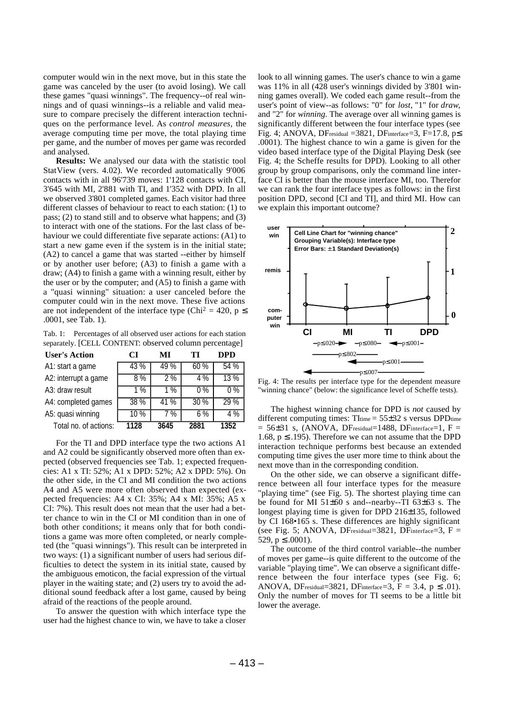computer would win in the next move, but in this state the game was canceled by the user (to avoid losing). We call these games "quasi winnings". The frequency--of real winnings and of quasi winnings--is a reliable and valid measure to compare precisely the different interaction techniques on the performance level. As *control measures,* the average computing time per move, the total playing time per game, and the number of moves per game was recorded and analysed.

**Results:** We analysed our data with the statistic tool StatView (vers. 4.02). We recorded automatically 9'006 contacts with in all 96'739 moves: 1'128 contacts with CI, 3'645 with MI, 2'881 with TI, and 1'352 with DPD. In all we observed 3'801 completed games. Each visitor had three different classes of behaviour to react to each station: (1) to pass; (2) to stand still and to observe what happens; and (3) to interact with one of the stations. For the last class of behaviour we could differentiate five separate actions: (A1) to start a new game even if the system is in the initial state; (A2) to cancel a game that was started --either by himself or by another user before; (A3) to finish a game with a draw; (A4) to finish a game with a winning result, either by the user or by the computer; and (A5) to finish a game with a "quasi winning" situation: a user canceled before the computer could win in the next move. These five actions are not independent of the interface type (Chi<sup>2</sup> = 420, p  $\le$ .0001, see Tab. 1).

Tab. 1: Percentages of all observed user actions for each station separately. [CELL CONTENT: observed column percentage]

| <b>User's Action</b>  | CI   | МI   | TI    | DPD  |
|-----------------------|------|------|-------|------|
| A1: start a game      | 43 % | 49 % | 60 %  | 54 % |
| A2: interrupt a game  | 8 %  | 2%   | 4 %   | 13 % |
| A3: draw result       | 1%   | 1%   | $0\%$ | 0 %  |
| A4: completed games   | 38 % | 41 % | 30 %  | 29 % |
| A5: quasi winning     | 10%  | 7 %  | $6\%$ | 4 %  |
| Total no. of actions: | 1128 | 3645 | 2881  | 352  |

For the TI and DPD interface type the two actions A1 and A2 could be significantly observed more often than expected (observed frequencies see Tab. 1; expected frequencies: A1 x TI: 52%; A1 x DPD: 52%; A2 x DPD: 5%). On the other side, in the CI and MI condition the two actions A4 and A5 were more often observed than expected (expected frequencies: A4 x CI: 35%; A4 x MI: 35%; A5 x CI: 7%). This result does not mean that the user had a better chance to win in the CI or MI condition than in one of both other conditions; it means only that for both conditions a game was more often completed, or nearly completed (the "quasi winnings"). This result can be interpreted in two ways: (1) a significant number of users had serious difficulties to detect the system in its initial state, caused by the ambiguous emoticon, the facial expression of the virtual player in the waiting state; and (2) users try to avoid the additional sound feedback after a lost game, caused by being afraid of the reactions of the people around.

To answer the question with which interface type the user had the highest chance to win, we have to take a closer look to all winning games. The user's chance to win a game was 11% in all (428 user's winnings divided by 3'801 winning games overall). We coded each game result--from the user's point of view--as follows: "0" for *lost*, "1" for *draw*, and "2" for *winning*. The average over all winning games is significantly different between the four interface types (see Fig. 4; ANOVA, DFresidual =3821, DFinterface=3, F=17.8,  $p\leq$ .0001). The highest chance to win a game is given for the video based interface type of the Digital Playing Desk (see Fig. 4; the Scheffe results for DPD). Looking to all other group by group comparisons, only the command line interface CI is better than the mouse interface MI, too. Therefor we can rank the four interface types as follows: in the first position DPD, second [CI and TI], and third MI. How can we explain this important outcome?



Fig. 4: The results per interface type for the dependent measure "winning chance" (below: the significance level of Scheffe tests).

The highest winning chance for DPD is *not* caused by different computing times: Then  $= 55\pm32$  s versus DPD time  $= 56\pm31$  s, (ANOVA, DFresidual=1488, DFinterface=1, F = 1.68,  $p \leq 0.195$ . Therefore we can not assume that the DPD interaction technique performs best because an extended computing time gives the user more time to think about the next move than in the corresponding condition.

On the other side, we can observe a significant difference between all four interface types for the measure "playing time" (see Fig. 5). The shortest playing time can be found for MI 51±60 s and--nearby--TI 63±63 s. The longest playing time is given for DPD 216±135, followed by CI 168•165 s. These differences are highly significant (see Fig. 5; ANOVA, DFresidual=3821, DFinterface=3, F = 529,  $p \leq .0001$ ).

The outcome of the third control variable--the number of moves per game--is quite different to the outcome of the variable "playing time". We can observe a significant difference between the four interface types (see Fig. 6; ANOVA, DFresidual=3821, DFinterface=3,  $F = 3.4$ ,  $p \le .01$ ). Only the number of moves for TI seems to be a little bit lower the average.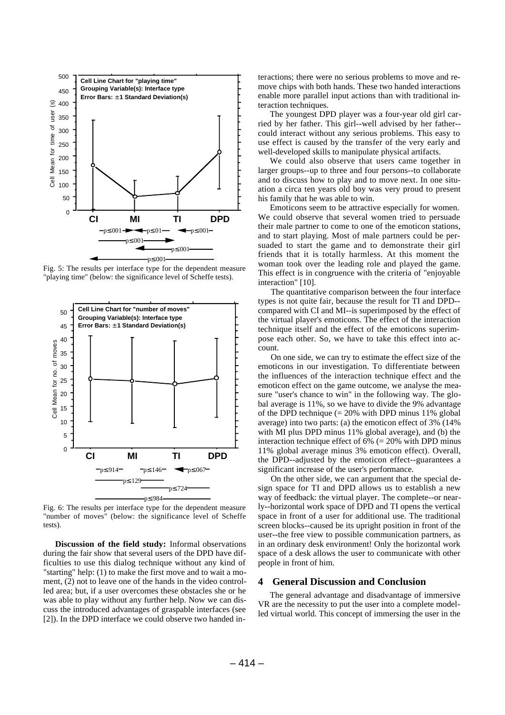

Fig. 5: The results per interface type for the dependent measure "playing time" (below: the significance level of Scheffe tests).



Fig. 6: The results per interface type for the dependent measure "number of moves" (below: the significance level of Scheffe tests).

**Discussion of the field study:** Informal observations during the fair show that several users of the DPD have difficulties to use this dialog technique without any kind of "starting" help: (1) to make the first move and to wait a moment, (2) not to leave one of the hands in the video controlled area; but, if a user overcomes these obstacles she or he was able to play without any further help. Now we can discuss the introduced advantages of graspable interfaces (see [2]). In the DPD interface we could observe two handed interactions; there were no serious problems to move and remove chips with both hands. These two handed interactions enable more parallel input actions than with traditional interaction techniques.

The youngest DPD player was a four-year old girl carried by her father. This girl--well advised by her father- could interact without any serious problems. This easy to use effect is caused by the transfer of the very early and well-developed skills to manipulate physical artifacts.

We could also observe that users came together in larger groups--up to three and four persons--to collaborate and to discuss how to play and to move next. In one situation a circa ten years old boy was very proud to present his family that he was able to win.

Emoticons seem to be attractive especially for women. We could observe that several women tried to persuade their male partner to come to one of the emoticon stations, and to start playing. Most of male partners could be persuaded to start the game and to demonstrate their girl friends that it is totally harmless. At this moment the woman took over the leading role and played the game. This effect is in congruence with the criteria of "enjoyable interaction" [10].

The quantitative comparison between the four interface types is not quite fair, because the result for TI and DPD- compared with CI and MI--is superimposed by the effect of the virtual player's emoticons. The effect of the interaction technique itself and the effect of the emoticons superimpose each other. So, we have to take this effect into account.

On one side, we can try to estimate the effect size of the emoticons in our investigation. To differentiate between the influences of the interaction technique effect and the emoticon effect on the game outcome, we analyse the measure "user's chance to win" in the following way. The global average is 11%, so we have to divide the 9% advantage of the DPD technique  $(= 20\%$  with DPD minus 11% global average) into two parts: (a) the emoticon effect of 3% (14% with MI plus DPD minus 11% global average), and (b) the interaction technique effect of  $6\%$  (= 20% with DPD minus 11% global average minus 3% emoticon effect). Overall, the DPD--adjusted by the emoticon effect--guarantees a significant increase of the user's performance.

On the other side, we can argument that the special design space for TI and DPD allows us to establish a new way of feedback: the virtual player. The complete--or nearly--horizontal work space of DPD and TI opens the vertical space in front of a user for additional use. The traditional screen blocks--caused be its upright position in front of the user--the free view to possible communication partners, as in an ordinary desk environment! Only the horizontal work space of a desk allows the user to communicate with other people in front of him.

### **4 General Discussion and Conclusion**

The general advantage and disadvantage of immersive VR are the necessity to put the user into a complete modelled virtual world. This concept of immersing the user in the